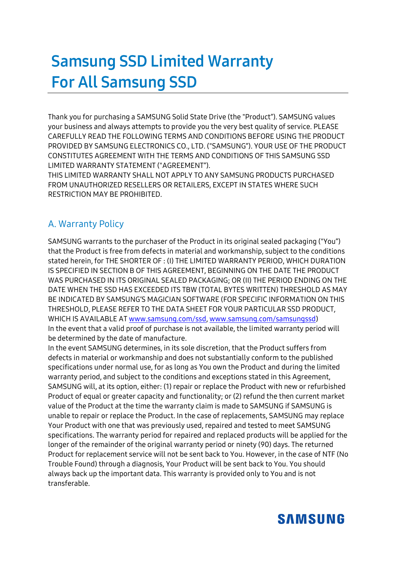# **Samsung SSD Limited Warranty For All Samsung SSD**

Thank you for purchasing a SAMSUNG Solid State Drive (the "Product"). SAMSUNG values your business and always attempts to provide you the very best quality of service. PLEASE CAREFULLY READ THE FOLLOWING TERMS AND CONDITIONS BEFORE USING THE PRODUCT PROVIDED BY SAMSUNG ELECTRONICS CO., LTD. ("SAMSUNG"). YOUR USE OF THE PRODUCT CONSTITUTES AGREEMENT WITH THE TERMS AND CONDITIONS OF THIS SAMSUNG SSD LIMITED WARRANTY STATEMENT ("AGREEMENT").

THIS LIMITED WARRANTY SHALL NOT APPLY TO ANY SAMSUNG PRODUCTS PURCHASED FROM UNAUTHORIZED RESELLERS OR RETAILERS, EXCEPT IN STATES WHERE SUCH RESTRICTION MAY BE PROHIBITED.

#### A. Warranty Policy

SAMSUNG warrants to the purchaser of the Product in its original sealed packaging ("You") that the Product is free from defects in material and workmanship, subject to the conditions stated herein, for THE SHORTER OF : (I) THE LIMITED WARRANTY PERIOD, WHICH DURATION IS SPECIFIED IN SECTION B OF THIS AGREEMENT, BEGINNING ON THE DATE THE PRODUCT WAS PURCHASED IN ITS ORIGINAL SEALED PACKAGING; OR (II) THE PERIOD ENDING ON THE DATE WHEN THE SSD HAS EXCEEDED ITS TBW (TOTAL BYTES WRITTEN) THRESHOLD AS MAY BE INDICATED BY SAMSUNG'S MAGICIAN SOFTWARE (FOR SPECIFIC INFORMATION ON THIS THRESHOLD, PLEASE REFER TO THE DATA SHEET FOR YOUR PARTICULAR SSD PRODUCT, WHICH IS AVAILABLE A[T www.samsung.com/ssd,](http://www.samsung.com/ssd) [www.samsung.com/samsungssd\)](http://www.samsung.com/samsungssd) In the event that a valid proof of purchase is not available, the limited warranty period will be determined by the date of manufacture.

In the event SAMSUNG determines, in its sole discretion, that the Product suffers from defects in material or workmanship and does not substantially conform to the published specifications under normal use, for as long as You own the Product and during the limited warranty period, and subject to the conditions and exceptions stated in this Agreement, SAMSUNG will, at its option, either: (1) repair or replace the Product with new or refurbished Product of equal or greater capacity and functionality; or (2) refund the then current market value of the Product at the time the warranty claim is made to SAMSUNG if SAMSUNG is unable to repair or replace the Product. In the case of replacements, SAMSUNG may replace Your Product with one that was previously used, repaired and tested to meet SAMSUNG specifications. The warranty period for repaired and replaced products will be applied for the longer of the remainder of the original warranty period or ninety (90) days. The returned Product for replacement service will not be sent back to You. However, in the case of NTF (No Trouble Found) through a diagnosis, Your Product will be sent back to You. You should always back up the important data. This warranty is provided only to You and is not transferable.

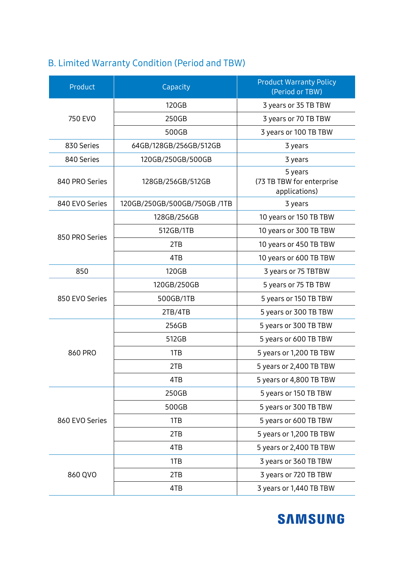### B. Limited Warranty Condition (Period and TBW)

| Product        | Capacity                     | <b>Product Warranty Policy</b><br>(Period or TBW)     |  |
|----------------|------------------------------|-------------------------------------------------------|--|
|                | 120GB                        | 3 years or 35 TB TBW                                  |  |
| 750 EVO        | 250GB                        | 3 years or 70 TB TBW                                  |  |
|                | 500GB                        | 3 years or 100 TB TBW                                 |  |
| 830 Series     | 64GB/128GB/256GB/512GB       | 3 years                                               |  |
| 840 Series     | 120GB/250GB/500GB            | 3 years                                               |  |
| 840 PRO Series | 128GB/256GB/512GB            | 5 years<br>(73 TB TBW for enterprise<br>applications) |  |
| 840 EVO Series | 120GB/250GB/500GB/750GB /1TB | 3 years                                               |  |
| 850 PRO Series | 128GB/256GB                  | 10 years or 150 TB TBW                                |  |
|                | 512GB/1TB                    | 10 years or 300 TB TBW                                |  |
|                | 2TB                          | 10 years or 450 TB TBW                                |  |
|                | 4TB                          | 10 years or 600 TB TBW                                |  |
| 850            | 120GB                        | 3 years or 75 TBTBW                                   |  |
| 850 EVO Series | 120GB/250GB                  | 5 years or 75 TB TBW                                  |  |
|                | 500GB/1TB                    | 5 years or 150 TB TBW                                 |  |
|                | 2TB/4TB                      | 5 years or 300 TB TBW                                 |  |
| 860 PRO        | 256GB                        | 5 years or 300 TB TBW                                 |  |
|                | 512GB                        | 5 years or 600 TB TBW                                 |  |
|                | 1TB                          | 5 years or 1,200 TB TBW                               |  |
|                | 2TB                          | 5 years or 2,400 TB TBW                               |  |
|                | 4TB                          | 5 years or 4,800 TB TBW                               |  |
| 860 EVO Series | 250GB                        | 5 years or 150 TB TBW                                 |  |
|                | 500GB                        | 5 years or 300 TB TBW                                 |  |
|                | 1TB                          | 5 years or 600 TB TBW                                 |  |
|                | 2TB                          | 5 years or 1,200 TB TBW                               |  |
|                | 4TB                          | 5 years or 2,400 TB TBW                               |  |
| 860 QVO        | 1TB                          | 3 years or 360 TB TBW                                 |  |
|                | 2TB                          | 3 years or 720 TB TBW                                 |  |
|                | 4TB                          | 3 years or 1,440 TB TBW                               |  |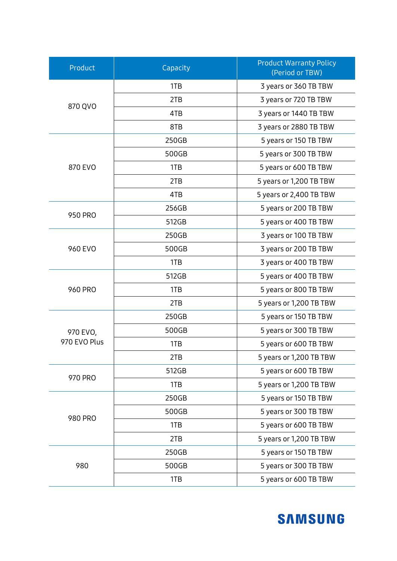| Product                  | Capacity | <b>Product Warranty Policy</b><br>(Period or TBW) |  |
|--------------------------|----------|---------------------------------------------------|--|
| 870 QVO                  | 1TB      | 3 years or 360 TB TBW                             |  |
|                          | 2TB      | 3 years or 720 TB TBW                             |  |
|                          | 4TB      | 3 years or 1440 TB TBW                            |  |
|                          | 8TB      | 3 years or 2880 TB TBW                            |  |
| 870 EVO                  | 250GB    | 5 years or 150 TB TBW                             |  |
|                          | 500GB    | 5 years or 300 TB TBW                             |  |
|                          | 1TB      | 5 years or 600 TB TBW                             |  |
|                          | 2TB      | 5 years or 1,200 TB TBW                           |  |
|                          | 4TB      | 5 years or 2,400 TB TBW                           |  |
| 950 PRO                  | 256GB    | 5 years or 200 TB TBW                             |  |
|                          | 512GB    | 5 years or 400 TB TBW                             |  |
|                          | 250GB    | 3 years or 100 TB TBW                             |  |
| 960 EVO                  | 500GB    | 3 years or 200 TB TBW                             |  |
|                          | 1TB      | 3 years or 400 TB TBW                             |  |
|                          | 512GB    | 5 years or 400 TB TBW                             |  |
| <b>960 PRO</b>           | 1TB      | 5 years or 800 TB TBW                             |  |
|                          | 2TB      | 5 years or 1,200 TB TBW                           |  |
| 970 EVO,<br>970 EVO Plus | 250GB    | 5 years or 150 TB TBW                             |  |
|                          | 500GB    | 5 years or 300 TB TBW                             |  |
|                          | 1TB      | 5 years or 600 TB TBW                             |  |
|                          | 2TB      | 5 years or 1,200 TB TBW                           |  |
|                          | 512GB    | 5 years or 600 TB TBW                             |  |
| 970 PRO                  | 1TB      | 5 years or 1,200 TB TBW                           |  |
| <b>980 PRO</b>           | 250GB    | 5 years or 150 TB TBW                             |  |
|                          | 500GB    | 5 years or 300 TB TBW                             |  |
|                          | 1TB      | 5 years or 600 TB TBW                             |  |
|                          | 2TB      | 5 years or 1,200 TB TBW                           |  |
| 980                      | 250GB    | 5 years or 150 TB TBW                             |  |
|                          | 500GB    | 5 years or 300 TB TBW                             |  |
|                          | 1TB      | 5 years or 600 TB TBW                             |  |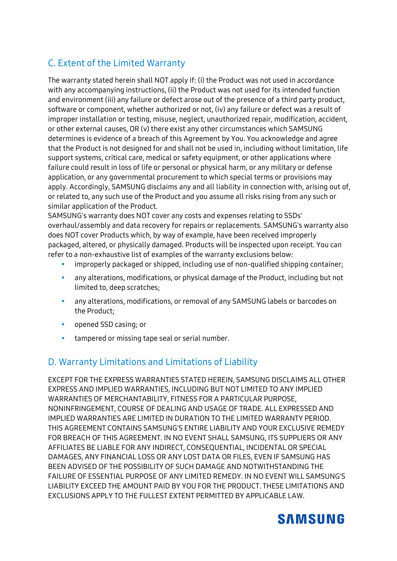#### C. Extent of the Limited Warranty

The warranty stated herein shall NOT apply if: (i) the Product was not used in accordance with any accompanying instructions, (ii) the Product was not used for its intended function and environment (iii) any failure or defect arose out of the presence of a third party product, software or component, whether authorized or not, (iv) any failure or defect was a result of improper installation or testing, misuse, neglect, unauthorized repair, modification, accident, or other external causes, OR (v) there exist any other circumstances which SAMSUNG determines is evidence of a breach of this Agreement by You. You acknowledge and agree that the Product is not designed for and shall not be used in, including without limitation, life support systems, critical care, medical or safety equipment, or other applications where failure could result in loss of life or personal or physical harm, or any military or defense application, or any governmental procurement to which special terms or provisions may apply. Accordingly, SAMSUNG disclaims any and all liability in connection with, arising out of, or related to, any such use of the Product and you assume all risks rising from any such or similar application of the Product.

SAMSUNG's warranty does NOT cover any costs and expenses relating to SSDs' overhaul/assembly and data recovery for repairs or replacements. SAMSUNG's warranty also does NOT cover Products which, by way of example, have been received improperly packaged, altered, or physically damaged. Products will be inspected upon receipt. You can refer to a non-exhaustive list of examples of the warranty exclusions below:

- improperly packaged or shipped, including use of non-qualified shipping container;
- any alterations, modifications, or physical damage of the Product, including but not limited to, deep scratches;
- any alterations, modifications, or removal of any SAMSUNG labels or barcodes on the Product;
- opened SSD casing; or
- tampered or missing tape seal or serial number.

#### D. Warranty Limitations and Limitations of Liability

EXCEPT FOR THE EXPRESS WARRANTIES STATED HEREIN, SAMSUNG DISCLAIMS ALL OTHER EXPRESS AND IMPLIED WARRANTIES, INCLUDING BUT NOT LIMITED TO ANY IMPLIED WARRANTIES OF MERCHANTABILITY, FITNESS FOR A PARTICULAR PURPOSE, NONINFRINGEMENT, COURSE OF DEALING AND USAGE OF TRADE. ALL EXPRESSED AND IMPLIED WARRANTIES ARE LIMITED IN DURATION TO THE LIMITED WARRANTY PERIOD. THIS AGREEMENT CONTAINS SAMSUNG'S ENTIRE LIABILITY AND YOUR EXCLUSIVE REMEDY FOR BREACH OF THIS AGREEMENT. IN NO EVENT SHALL SAMSUNG, ITS SUPPLIERS OR ANY AFFILIATES BE LIABLE FOR ANY INDIRECT, CONSEQUENTIAL, INCIDENTAL OR SPECIAL DAMAGES, ANY FINANCIAL LOSS OR ANY LOST DATA OR FILES, EVEN IF SAMSUNG HAS BEEN ADVISED OF THE POSSIBILITY OF SUCH DAMAGE AND NOTWITHSTANDING THE FAILURE OF ESSENTIAL PURPOSE OF ANY LIMITED REMEDY. IN NO EVENT WILL SAMSUNG'S LIABILITY EXCEED THE AMOUNT PAID BY YOU FOR THE PRODUCT. THESE LIMITATIONS AND EXCLUSIONS APPLY TO THE FULLEST EXTENT PERMITTED BY APPLICABLE LAW.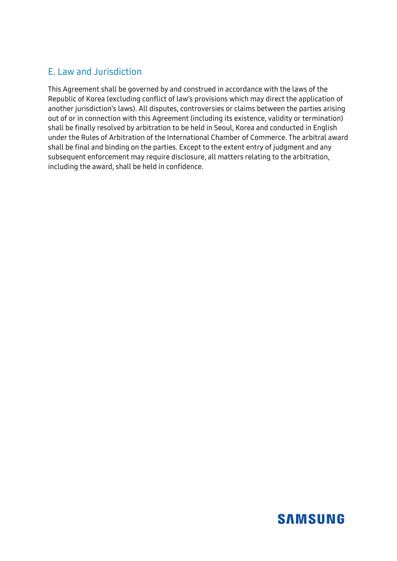#### E. Law and Jurisdiction

This Agreement shall be governed by and construed in accordance with the laws of the Republic of Korea (excluding conflict of law's provisions which may direct the application of another jurisdiction's laws). All disputes, controversies or claims between the parties arising out of or in connection with this Agreement (including its existence, validity or termination) shall be finally resolved by arbitration to be held in Seoul, Korea and conducted in English under the Rules of Arbitration of the International Chamber of Commerce. The arbitral award shall be final and binding on the parties. Except to the extent entry of judgment and any subsequent enforcement may require disclosure, all matters relating to the arbitration, including the award, shall be held in confidence.